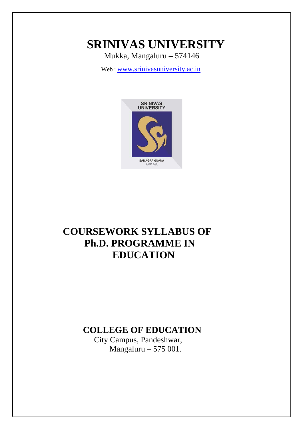# **SRINIVAS UNIVERSITY**

Mukka, Mangaluru – 574146

Web : [www.srinivasuniversity.ac.in](http://www.srinivasuniversity.ac.in/)



# **COURSEWORK SYLLABUS OF Ph.D. PROGRAMME IN EDUCATION**

# **COLLEGE OF EDUCATION**

 City Campus, Pandeshwar, Mangaluru – 575 001.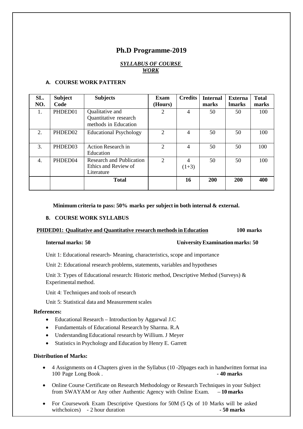# **Ph.D Programme-2019**

# *SYLLABUS OF COURSE WORK*

| SL.<br>NO.       | <b>Subject</b><br>Code | <b>Subjects</b>                                                       | Exam<br>(Hours) | <b>Credits</b>            | <b>Internal</b><br>marks | <b>Externa</b><br><b>Imarks</b> | <b>Total</b><br>marks |
|------------------|------------------------|-----------------------------------------------------------------------|-----------------|---------------------------|--------------------------|---------------------------------|-----------------------|
| 1.               | PHDED01                | Qualitative and<br>Quantitative research<br>methods in Education      | 2               | 4                         | 50                       | 50                              | 100                   |
| 2.               | PHDED02                | <b>Educational Psychology</b>                                         | $\overline{2}$  | $\overline{4}$            | 50                       | 50                              | 100                   |
| 3.               | PHDED03                | <b>Action Research in</b><br>Education                                | 2               | $\overline{4}$            | 50                       | 50                              | 100                   |
| $\overline{4}$ . | PHDED04                | <b>Research and Publication</b><br>Ethics and Review of<br>Literature | $\overline{2}$  | $\overline{4}$<br>$(1+3)$ | 50                       | 50                              | 100                   |
|                  |                        | <b>Total</b>                                                          |                 | 16                        | <b>200</b>               | <b>200</b>                      | 400                   |

# **A. COURSE WORK PATTERN**

**Minimum criteria to pass: 50% marks per subject in both internal & external.**

# **B. COURSE WORK SYLLABUS**

# **PHDED01: Qualitative and Quantitative research methodsinEducation 100 marks**

# **Internal marks: 50 UniversityExamination marks: 50**

Unit 1: Educational research- Meaning, characteristics, scope and importance

Unit 2: Educational research problems, statements, variables and hypotheses

Unit 3: Types of Educational research: Historic method, Descriptive Method (Surveys) & Experimental method.

Unit 4: Techniques and tools of research

Unit 5: Statistical data and Measurement scales

### **References:**

- Educational Research Introduction by Aggarwal J.C
- Fundamentals of Educational Research by Sharma. R.A
- Understanding Educational research by Willium. J Meyer
- Statistics in Psychology and Education by Henry E. Garrett

# **Distribution of Marks:**

- 4 Assignments on 4 Chapters given in the Syllabus (10 -20pages each in handwritten format ina 100 Page Long Book . **- 40 marks**
- Online Course Certificate on Research Methodology or Research Techniques in your Subject from SWAYAM or Any other Authentic Agency with Online Exam. – **10 marks**
- For Coursework Exam Descriptive Questions for 50M (5 Qs of 10 Marks will be asked withchoices) - 2 hour duration **- 50 marks**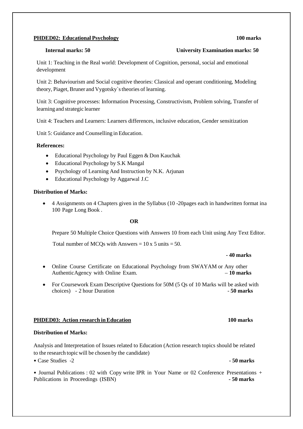# **PHDED02: Educational Psychology 100 marks**

# **Internal marks: 50 University Examination marks: 50**

Unit 1: Teaching in the Real world: Development of Cognition, personal, social and emotional development

Unit 2: Behaviourism and Social cognitive theories: Classical and operant conditioning, Modeling theory, Piaget, Bruner and Vygotsky`stheories of learning.

Unit 3: Cognitive processes: Information Processing, Constructivism, Problem solving, Transfer of learning and strategic learner

Unit 4: Teachers and Learners: Learners differences, inclusive education, Gender sensitization

Unit 5: Guidance and Counselling in Education.

### **References:**

- Educational Psychology by Paul Eggen & Don Kauchak
- Educational Psychology by S.K Mangal
- Psychology of Learning And Instruction by N.K. Arjunan
- Educational Psychology by Aggarwal J.C

## **Distribution of Marks:**

• 4 Assignments on 4 Chapters given in the Syllabus (10 -20pages each in handwritten format ina 100 Page Long Book .

### **OR**

Prepare 50 Multiple Choice Questions with Answers 10 from each Unit using Any Text Editor.

Total number of MCQs with Answers  $= 10 \times 5$  units  $= 50$ .

### **- 40 marks**

- Online Course Certificate on Educational Psychology from SWAYAM or Any other Authentic Agency with Online Exam.  $-10$  marks
- For Coursework Exam Descriptive Questions for 50M (5 Qs of 10 Marks will be asked with choices) - 2 hour Duration - 50 marks

### **PHDED03: Action research inEducation 100 marks**

# **Distribution of Marks:**

Analysis and Interpretation of Issues related to Education (Action research topics should be related to the research topicwill be chosen by the candidate)

• Case Studies -2 **- 50 marks**

• Journal Publications : 02 with Copy write IPR in Your Name or 02 Conference Presentations + Publications in Proceedings (ISBN) **- 50 marks**